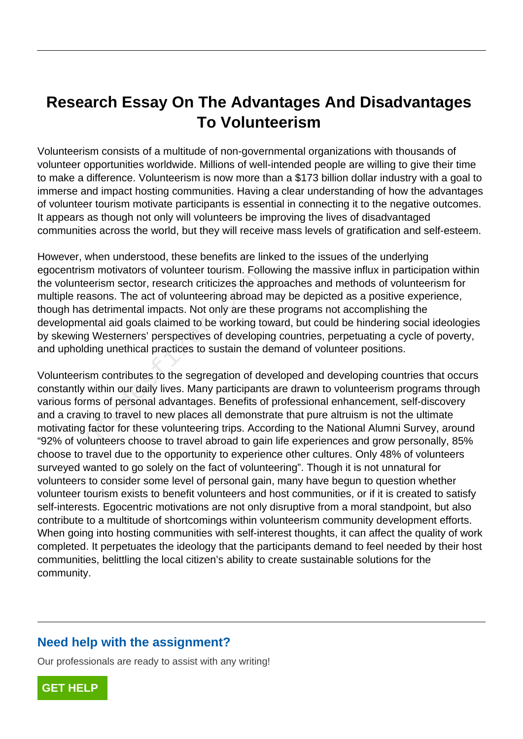# **Research Essay On The Advantages And Disadvantages To Volunteerism**

Volunteerism consists of a multitude of non-governmental organizations with thousands of volunteer opportunities worldwide. Millions of well-intended people are willing to give their time to make a difference. Volunteerism is now more than a \$173 billion dollar industry with a goal to immerse and impact hosting communities. Having a clear understanding of how the advantages of volunteer tourism motivate participants is essential in connecting it to the negative outcomes. It appears as though not only will volunteers be improving the lives of disadvantaged communities across the world, but they will receive mass levels of gratification and self-esteem.

However, when understood, these benefits are linked to the issues of the underlying egocentrism motivators of volunteer tourism. Following the massive influx in participation within the volunteerism sector, research criticizes the approaches and methods of volunteerism for multiple reasons. The act of volunteering abroad may be depicted as a positive experience, though has detrimental impacts. Not only are these programs not accomplishing the developmental aid goals claimed to be working toward, but could be hindering social ideologies by skewing Westerners' perspectives of developing countries, perpetuating a cycle of poverty, and upholding unethical practices to sustain the demand of volunteer positions. France Transmit Fourthmental oriental and as detrimental impacts. Not only are the antial aid goals claimed to be working to Westerners' perspectives of developiding unethical practices to sustain the component of developi

Volunteerism contributes to the segregation of developed and developing countries that occurs constantly within our daily lives. Many participants are drawn to volunteerism programs through various forms of personal advantages. Benefits of professional enhancement, self-discovery and a craving to travel to new places all demonstrate that pure altruism is not the ultimate motivating factor for these volunteering trips. According to the National Alumni Survey, around "92% of volunteers choose to travel abroad to gain life experiences and grow personally, 85% choose to travel due to the opportunity to experience other cultures. Only 48% of volunteers surveyed wanted to go solely on the fact of volunteering". Though it is not unnatural for volunteers to consider some level of personal gain, many have begun to question whether volunteer tourism exists to benefit volunteers and host communities, or if it is created to satisfy self-interests. Egocentric motivations are not only disruptive from a moral standpoint, but also contribute to a multitude of shortcomings within volunteerism community development efforts. When going into hosting communities with self-interest thoughts, it can affect the quality of work completed. It perpetuates the ideology that the participants demand to feel needed by their host communities, belittling the local citizen's ability to create sustainable solutions for the community.

## **Need help with the assignment?**

Our professionals are ready to assist with any writing!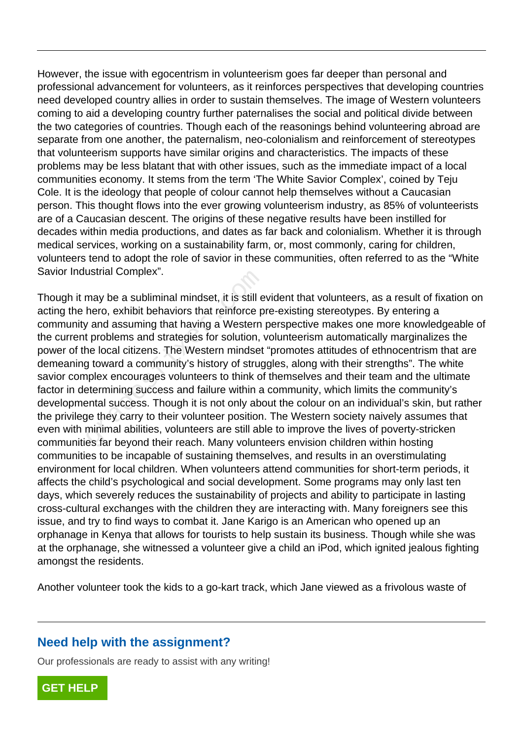However, the issue with egocentrism in volunteerism goes far deeper than personal and professional advancement for volunteers, as it reinforces perspectives that developing countries need developed country allies in order to sustain themselves. The image of Western volunteers coming to aid a developing country further paternalises the social and political divide between the two categories of countries. Though each of the reasonings behind volunteering abroad are separate from one another, the paternalism, neo-colonialism and reinforcement of stereotypes that volunteerism supports have similar origins and characteristics. The impacts of these problems may be less blatant that with other issues, such as the immediate impact of a local communities economy. It stems from the term 'The White Savior Complex', coined by Teju Cole. It is the ideology that people of colour cannot help themselves without a Caucasian person. This thought flows into the ever growing volunteerism industry, as 85% of volunteerists are of a Caucasian descent. The origins of these negative results have been instilled for decades within media productions, and dates as far back and colonialism. Whether it is through medical services, working on a sustainability farm, or, most commonly, caring for children, volunteers tend to adopt the role of savior in these communities, often referred to as the "White Savior Industrial Complex".

Though it may be a subliminal mindset, it is still evident that volunteers, as a result of fixation on acting the hero, exhibit behaviors that reinforce pre-existing stereotypes. By entering a community and assuming that having a Western perspective makes one more knowledgeable of the current problems and strategies for solution, volunteerism automatically marginalizes the power of the local citizens. The Western mindset "promotes attitudes of ethnocentrism that are demeaning toward a community's history of struggles, along with their strengths". The white savior complex encourages volunteers to think of themselves and their team and the ultimate factor in determining success and failure within a community, which limits the community's developmental success. Though it is not only about the colour on an individual's skin, but rather the privilege they carry to their volunteer position. The Western society naively assumes that even with minimal abilities, volunteers are still able to improve the lives of poverty-stricken communities far beyond their reach. Many volunteers envision children within hosting communities to be incapable of sustaining themselves, and results in an overstimulating environment for local children. When volunteers attend communities for short-term periods, it affects the child's psychological and social development. Some programs may only last ten days, which severely reduces the sustainability of projects and ability to participate in lasting cross-cultural exchanges with the children they are interacting with. Many foreigners see this issue, and try to find ways to combat it. Jane Karigo is an American who opened up an orphanage in Kenya that allows for tourists to help sustain its business. Though while she was at the orphanage, she witnessed a volunteer give a child an iPod, which ignited jealous fighting amongst the residents. ustrial Complex .<br>
may be a subliminal mindset, it is still e<br>
hero, exhibit behaviors that reinforce p<br> *y* and assuming that having a Western<br>
t problems and strategies for solution,<br>
ne local citizens. The Western minds

Another volunteer took the kids to a go-kart track, which Jane viewed as a frivolous waste of

#### **Need help with the assignment?**

Our professionals are ready to assist with any writing!

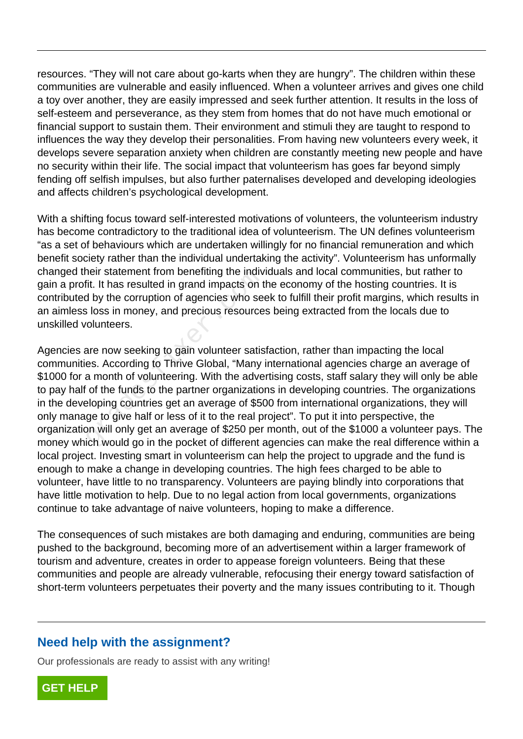resources. "They will not care about go-karts when they are hungry". The children within these communities are vulnerable and easily influenced. When a volunteer arrives and gives one child a toy over another, they are easily impressed and seek further attention. It results in the loss of self-esteem and perseverance, as they stem from homes that do not have much emotional or financial support to sustain them. Their environment and stimuli they are taught to respond to influences the way they develop their personalities. From having new volunteers every week, it develops severe separation anxiety when children are constantly meeting new people and have no security within their life. The social impact that volunteerism has goes far beyond simply fending off selfish impulses, but also further paternalises developed and developing ideologies and affects children's psychological development.

With a shifting focus toward self-interested motivations of volunteers, the volunteerism industry has become contradictory to the traditional idea of volunteerism. The UN defines volunteerism "as a set of behaviours which are undertaken willingly for no financial remuneration and which benefit society rather than the individual undertaking the activity". Volunteerism has unformally changed their statement from benefiting the individuals and local communities, but rather to gain a profit. It has resulted in grand impacts on the economy of the hosting countries. It is contributed by the corruption of agencies who seek to fulfill their profit margins, which results in an aimless loss in money, and precious resources being extracted from the locals due to unskilled volunteers.

Agencies are now seeking to gain volunteer satisfaction, rather than impacting the local communities. According to Thrive Global, "Many international agencies charge an average of \$1000 for a month of volunteering. With the advertising costs, staff salary they will only be able to pay half of the funds to the partner organizations in developing countries. The organizations in the developing countries get an average of \$500 from international organizations, they will only manage to give half or less of it to the real project". To put it into perspective, the organization will only get an average of \$250 per month, out of the \$1000 a volunteer pays. The money which would go in the pocket of different agencies can make the real difference within a local project. Investing smart in volunteerism can help the project to upgrade and the fund is enough to make a change in developing countries. The high fees charged to be able to volunteer, have little to no transparency. Volunteers are paying blindly into corporations that have little motivation to help. Due to no legal action from local governments, organizations continue to take advantage of naive volunteers, hoping to make a difference. Fig. It has resulted in grand impacts on the by the corruption of agencies who see<br>is loss in money, and precious resource<br>colunteers.<br>are now seeking to gain volunteer satis<br>es. According to Thrive Global, "Many<br>a month o

The consequences of such mistakes are both damaging and enduring, communities are being pushed to the background, becoming more of an advertisement within a larger framework of tourism and adventure, creates in order to appease foreign volunteers. Being that these communities and people are already vulnerable, refocusing their energy toward satisfaction of short-term volunteers perpetuates their poverty and the many issues contributing to it. Though

## **Need help with the assignment?**

Our professionals are ready to assist with any writing!

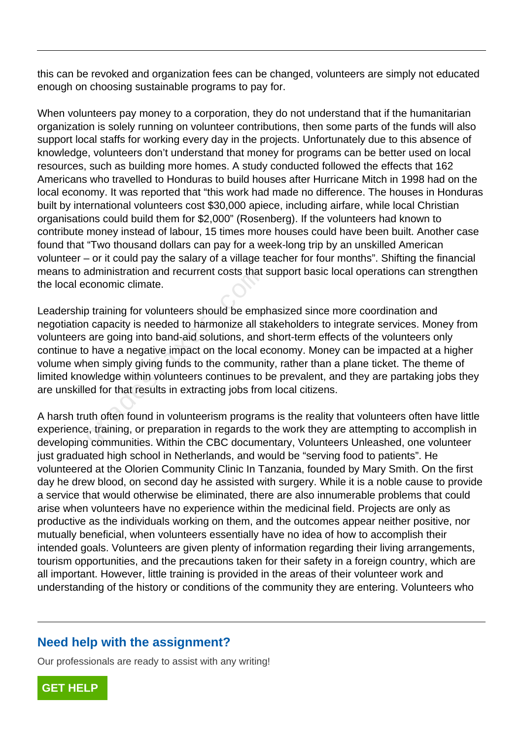this can be revoked and organization fees can be changed, volunteers are simply not educated enough on choosing sustainable programs to pay for.

When volunteers pay money to a corporation, they do not understand that if the humanitarian organization is solely running on volunteer contributions, then some parts of the funds will also support local staffs for working every day in the projects. Unfortunately due to this absence of knowledge, volunteers don't understand that money for programs can be better used on local resources, such as building more homes. A study conducted followed the effects that 162 Americans who travelled to Honduras to build houses after Hurricane Mitch in 1998 had on the local economy. It was reported that "this work had made no difference. The houses in Honduras built by international volunteers cost \$30,000 apiece, including airfare, while local Christian organisations could build them for \$2,000" (Rosenberg). If the volunteers had known to contribute money instead of labour, 15 times more houses could have been built. Another case found that "Two thousand dollars can pay for a week-long trip by an unskilled American volunteer – or it could pay the salary of a village teacher for four months". Shifting the financial means to administration and recurrent costs that support basic local operations can strengthen the local economic climate.

Leadership training for volunteers should be emphasized since more coordination and negotiation capacity is needed to harmonize all stakeholders to integrate services. Money from volunteers are going into band-aid solutions, and short-term effects of the volunteers only continue to have a negative impact on the local economy. Money can be impacted at a higher volume when simply giving funds to the community, rather than a plane ticket. The theme of limited knowledge within volunteers continues to be prevalent, and they are partaking jobs they are unskilled for that results in extracting jobs from local citizens. Example Islamin and Tecurrent Costs that<br>conomic climate.<br>Detaining for volunteers should be emp<br>a capacity is needed to harmonize all s<br>are going into band-aid solutions, and<br>phave a negative impact on the local ends<br>incl

A harsh truth often found in volunteerism programs is the reality that volunteers often have little experience, training, or preparation in regards to the work they are attempting to accomplish in developing communities. Within the CBC documentary, Volunteers Unleashed, one volunteer just graduated high school in Netherlands, and would be "serving food to patients". He volunteered at the Olorien Community Clinic In Tanzania, founded by Mary Smith. On the first day he drew blood, on second day he assisted with surgery. While it is a noble cause to provide a service that would otherwise be eliminated, there are also innumerable problems that could arise when volunteers have no experience within the medicinal field. Projects are only as productive as the individuals working on them, and the outcomes appear neither positive, nor mutually beneficial, when volunteers essentially have no idea of how to accomplish their intended goals. Volunteers are given plenty of information regarding their living arrangements, tourism opportunities, and the precautions taken for their safety in a foreign country, which are all important. However, little training is provided in the areas of their volunteer work and understanding of the history or conditions of the community they are entering. Volunteers who

## **Need help with the assignment?**

Our professionals are ready to assist with any writing!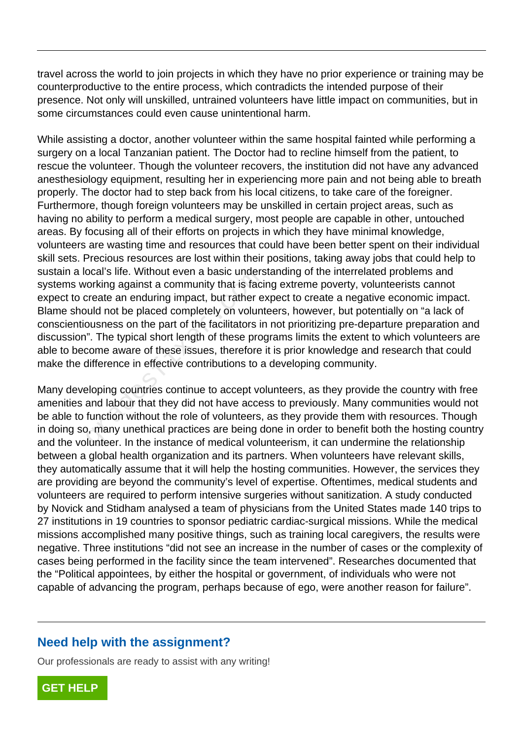travel across the world to join projects in which they have no prior experience or training may be counterproductive to the entire process, which contradicts the intended purpose of their presence. Not only will unskilled, untrained volunteers have little impact on communities, but in some circumstances could even cause unintentional harm.

While assisting a doctor, another volunteer within the same hospital fainted while performing a surgery on a local Tanzanian patient. The Doctor had to recline himself from the patient, to rescue the volunteer. Though the volunteer recovers, the institution did not have any advanced anesthesiology equipment, resulting her in experiencing more pain and not being able to breath properly. The doctor had to step back from his local citizens, to take care of the foreigner. Furthermore, though foreign volunteers may be unskilled in certain project areas, such as having no ability to perform a medical surgery, most people are capable in other, untouched areas. By focusing all of their efforts on projects in which they have minimal knowledge, volunteers are wasting time and resources that could have been better spent on their individual skill sets. Precious resources are lost within their positions, taking away jobs that could help to sustain a local's life. Without even a basic understanding of the interrelated problems and systems working against a community that is facing extreme poverty, volunteerists cannot expect to create an enduring impact, but rather expect to create a negative economic impact. Blame should not be placed completely on volunteers, however, but potentially on "a lack of conscientiousness on the part of the facilitators in not prioritizing pre-departure preparation and discussion". The typical short length of these programs limits the extent to which volunteers are able to become aware of these issues, therefore it is prior knowledge and research that could make the difference in effective contributions to a developing community. ocal s life. Without even a basic unders<br>orking against a community that is fact<br>create an enduring impact, but rather e<br>ould not be placed completely on volunt<br>ousness on the part of the facilitators ir<br>". The typical sho

Many developing countries continue to accept volunteers, as they provide the country with free amenities and labour that they did not have access to previously. Many communities would not be able to function without the role of volunteers, as they provide them with resources. Though in doing so, many unethical practices are being done in order to benefit both the hosting country and the volunteer. In the instance of medical volunteerism, it can undermine the relationship between a global health organization and its partners. When volunteers have relevant skills, they automatically assume that it will help the hosting communities. However, the services they are providing are beyond the community's level of expertise. Oftentimes, medical students and volunteers are required to perform intensive surgeries without sanitization. A study conducted by Novick and Stidham analysed a team of physicians from the United States made 140 trips to 27 institutions in 19 countries to sponsor pediatric cardiac-surgical missions. While the medical missions accomplished many positive things, such as training local caregivers, the results were negative. Three institutions "did not see an increase in the number of cases or the complexity of cases being performed in the facility since the team intervened". Researches documented that the "Political appointees, by either the hospital or government, of individuals who were not capable of advancing the program, perhaps because of ego, were another reason for failure".

#### **Need help with the assignment?**

Our professionals are ready to assist with any writing!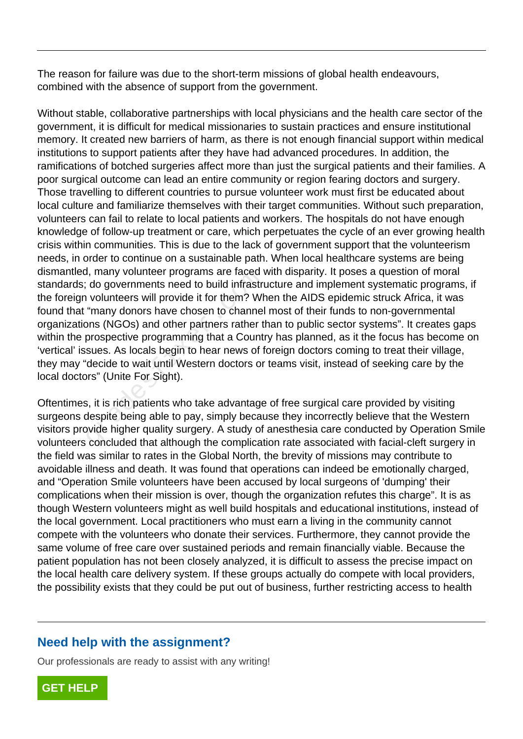The reason for failure was due to the short-term missions of global health endeavours, combined with the absence of support from the government.

Without stable, collaborative partnerships with local physicians and the health care sector of the government, it is difficult for medical missionaries to sustain practices and ensure institutional memory. It created new barriers of harm, as there is not enough financial support within medical institutions to support patients after they have had advanced procedures. In addition, the ramifications of botched surgeries affect more than just the surgical patients and their families. A poor surgical outcome can lead an entire community or region fearing doctors and surgery. Those travelling to different countries to pursue volunteer work must first be educated about local culture and familiarize themselves with their target communities. Without such preparation, volunteers can fail to relate to local patients and workers. The hospitals do not have enough knowledge of follow-up treatment or care, which perpetuates the cycle of an ever growing health crisis within communities. This is due to the lack of government support that the volunteerism needs, in order to continue on a sustainable path. When local healthcare systems are being dismantled, many volunteer programs are faced with disparity. It poses a question of moral standards; do governments need to build infrastructure and implement systematic programs, if the foreign volunteers will provide it for them? When the AIDS epidemic struck Africa, it was found that "many donors have chosen to channel most of their funds to non-governmental organizations (NGOs) and other partners rather than to public sector systems". It creates gaps within the prospective programming that a Country has planned, as it the focus has become on 'vertical' issues. As locals begin to hear news of foreign doctors coming to treat their village, they may "decide to wait until Western doctors or teams visit, instead of seeking care by the local doctors" (Unite For Sight). I, many volumeer programs are raced to<br>do governments need to build infrastric<br>volunteers will provide it for them? Where the many donors have chosen to channel<br>pns (NGOs) and other partners rather to<br>prospective programmi

Oftentimes, it is rich patients who take advantage of free surgical care provided by visiting surgeons despite being able to pay, simply because they incorrectly believe that the Western visitors provide higher quality surgery. A study of anesthesia care conducted by Operation Smile volunteers concluded that although the complication rate associated with facial-cleft surgery in the field was similar to rates in the Global North, the brevity of missions may contribute to avoidable illness and death. It was found that operations can indeed be emotionally charged, and "Operation Smile volunteers have been accused by local surgeons of 'dumping' their complications when their mission is over, though the organization refutes this charge". It is as though Western volunteers might as well build hospitals and educational institutions, instead of the local government. Local practitioners who must earn a living in the community cannot compete with the volunteers who donate their services. Furthermore, they cannot provide the same volume of free care over sustained periods and remain financially viable. Because the patient population has not been closely analyzed, it is difficult to assess the precise impact on the local health care delivery system. If these groups actually do compete with local providers, the possibility exists that they could be put out of business, further restricting access to health

## **Need help with the assignment?**

Our professionals are ready to assist with any writing!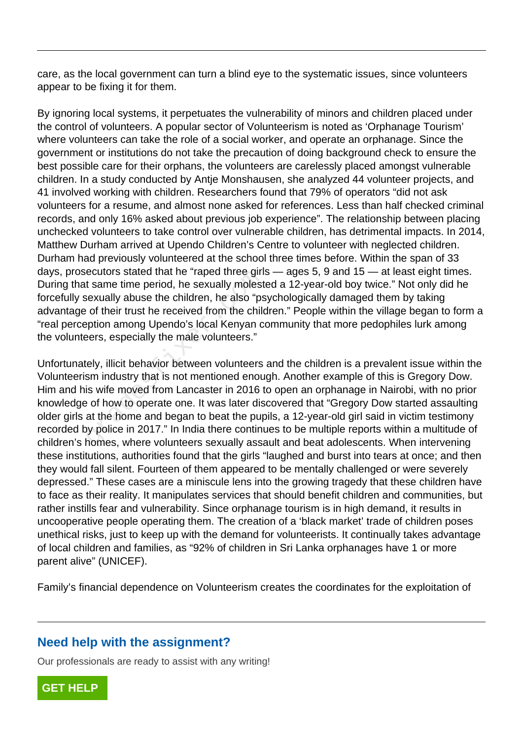care, as the local government can turn a blind eye to the systematic issues, since volunteers appear to be fixing it for them.

By ignoring local systems, it perpetuates the vulnerability of minors and children placed under the control of volunteers. A popular sector of Volunteerism is noted as 'Orphanage Tourism' where volunteers can take the role of a social worker, and operate an orphanage. Since the government or institutions do not take the precaution of doing background check to ensure the best possible care for their orphans, the volunteers are carelessly placed amongst vulnerable children. In a study conducted by Antje Monshausen, she analyzed 44 volunteer projects, and 41 involved working with children. Researchers found that 79% of operators "did not ask volunteers for a resume, and almost none asked for references. Less than half checked criminal records, and only 16% asked about previous job experience". The relationship between placing unchecked volunteers to take control over vulnerable children, has detrimental impacts. In 2014, Matthew Durham arrived at Upendo Children's Centre to volunteer with neglected children. Durham had previously volunteered at the school three times before. Within the span of 33 days, prosecutors stated that he "raped three girls — ages 5, 9 and 15 — at least eight times. During that same time period, he sexually molested a 12-year-old boy twice." Not only did he forcefully sexually abuse the children, he also "psychologically damaged them by taking advantage of their trust he received from the children." People within the village began to form a "real perception among Upendo's local Kenyan community that more pedophiles lurk among the volunteers, especially the male volunteers."

Unfortunately, illicit behavior between volunteers and the children is a prevalent issue within the Volunteerism industry that is not mentioned enough. Another example of this is Gregory Dow. Him and his wife moved from Lancaster in 2016 to open an orphanage in Nairobi, with no prior knowledge of how to operate one. It was later discovered that "Gregory Dow started assaulting older girls at the home and began to beat the pupils, a 12-year-old girl said in victim testimony recorded by police in 2017." In India there continues to be multiple reports within a multitude of children's homes, where volunteers sexually assault and beat adolescents. When intervening these institutions, authorities found that the girls "laughed and burst into tears at once; and then they would fall silent. Fourteen of them appeared to be mentally challenged or were severely depressed." These cases are a miniscule lens into the growing tragedy that these children have to face as their reality. It manipulates services that should benefit children and communities, but rather instills fear and vulnerability. Since orphanage tourism is in high demand, it results in uncooperative people operating them. The creation of a 'black market' trade of children poses unethical risks, just to keep up with the demand for volunteerists. It continually takes advantage of local children and families, as "92% of children in Sri Lanka orphanages have 1 or more parent alive" (UNICEF). eculors stated that he Taped three gift<br>t same time period, he sexually molest<br>sexually abuse the children, he also "ps<br>of their trust he received from the child<br>pption among Upendo's local Kenyan c<br>sers, especially the ma

Family's financial dependence on Volunteerism creates the coordinates for the exploitation of

#### **Need help with the assignment?**

Our professionals are ready to assist with any writing!